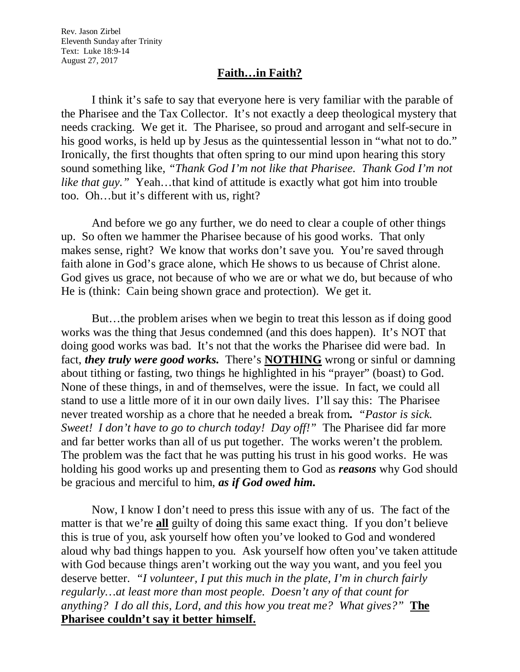Rev. Jason Zirbel Eleventh Sunday after Trinity Text: Luke 18:9-14 August 27, 2017

## **Faith…in Faith?**

I think it's safe to say that everyone here is very familiar with the parable of the Pharisee and the Tax Collector. It's not exactly a deep theological mystery that needs cracking. We get it. The Pharisee, so proud and arrogant and self-secure in his good works, is held up by Jesus as the quintessential lesson in "what not to do." Ironically, the first thoughts that often spring to our mind upon hearing this story sound something like, *"Thank God I'm not like that Pharisee. Thank God I'm not like that guy.*" Yeah...that kind of attitude is exactly what got him into trouble too. Oh…but it's different with us, right?

And before we go any further, we do need to clear a couple of other things up. So often we hammer the Pharisee because of his good works. That only makes sense, right? We know that works don't save you. You're saved through faith alone in God's grace alone, which He shows to us because of Christ alone. God gives us grace, not because of who we are or what we do, but because of who He is (think: Cain being shown grace and protection). We get it.

But…the problem arises when we begin to treat this lesson as if doing good works was the thing that Jesus condemned (and this does happen). It's NOT that doing good works was bad. It's not that the works the Pharisee did were bad. In fact, *they truly were good works.* There's **NOTHING** wrong or sinful or damning about tithing or fasting, two things he highlighted in his "prayer" (boast) to God. None of these things, in and of themselves, were the issue. In fact, we could all stand to use a little more of it in our own daily lives. I'll say this: The Pharisee never treated worship as a chore that he needed a break from**.** *"Pastor is sick. Sweet! I don't have to go to church today! Day off!"*The Pharisee did far more and far better works than all of us put together. The works weren't the problem. The problem was the fact that he was putting his trust in his good works. He was holding his good works up and presenting them to God as *reasons* why God should be gracious and merciful to him, *as if God owed him.*

Now, I know I don't need to press this issue with any of us. The fact of the matter is that we're **all** guilty of doing this same exact thing. If you don't believe this is true of you, ask yourself how often you've looked to God and wondered aloud why bad things happen to you. Ask yourself how often you've taken attitude with God because things aren't working out the way you want, and you feel you deserve better. *"I volunteer, I put this much in the plate, I'm in church fairly regularly…at least more than most people. Doesn't any of that count for anything? I do all this, Lord, and this how you treat me? What gives?"* **The Pharisee couldn't say it better himself.**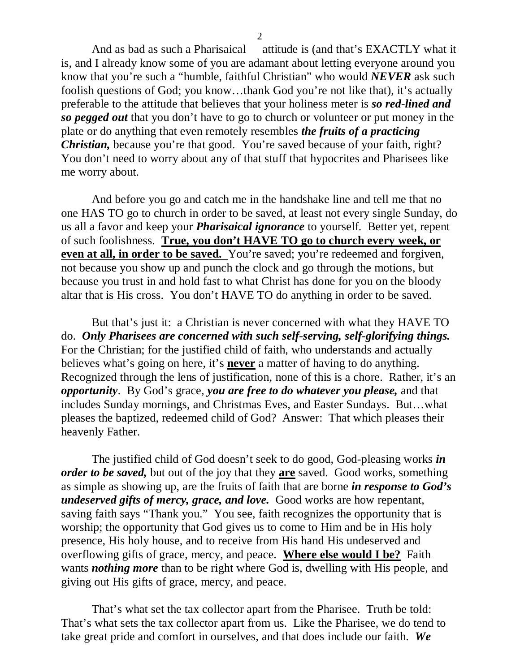And as bad as such a Pharisaical attitude is (and that's EXACTLY what it is, and I already know some of you are adamant about letting everyone around you know that you're such a "humble, faithful Christian" who would *NEVER* ask such foolish questions of God; you know…thank God you're not like that), it's actually preferable to the attitude that believes that your holiness meter is *so red-lined and so pegged out* that you don't have to go to church or volunteer or put money in the plate or do anything that even remotely resembles *the fruits of a practicing Christian,* because you're that good. You're saved because of your faith, right? You don't need to worry about any of that stuff that hypocrites and Pharisees like me worry about.

And before you go and catch me in the handshake line and tell me that no one HAS TO go to church in order to be saved, at least not every single Sunday, do us all a favor and keep your *Pharisaical ignorance* to yourself. Better yet, repent of such foolishness. **True, you don't HAVE TO go to church every week, or even at all, in order to be saved.** You're saved; you're redeemed and forgiven, not because you show up and punch the clock and go through the motions, but because you trust in and hold fast to what Christ has done for you on the bloody altar that is His cross. You don't HAVE TO do anything in order to be saved.

But that's just it: a Christian is never concerned with what they HAVE TO do. *Only Pharisees are concerned with such self-serving, self-glorifying things.* For the Christian; for the justified child of faith, who understands and actually believes what's going on here, it's **never** a matter of having to do anything. Recognized through the lens of justification, none of this is a chore. Rather, it's an *opportunity*. By God's grace, *you are free to do whatever you please,* and that includes Sunday mornings, and Christmas Eves, and Easter Sundays. But…what pleases the baptized, redeemed child of God? Answer: That which pleases their heavenly Father.

The justified child of God doesn't seek to do good, God-pleasing works *in order to be saved,* but out of the joy that they **are** saved. Good works, something as simple as showing up, are the fruits of faith that are borne *in response to God's undeserved gifts of mercy, grace, and love.* Good works are how repentant, saving faith says "Thank you." You see, faith recognizes the opportunity that is worship; the opportunity that God gives us to come to Him and be in His holy presence, His holy house, and to receive from His hand His undeserved and overflowing gifts of grace, mercy, and peace. **Where else would I be?** Faith wants *nothing more* than to be right where God is, dwelling with His people, and giving out His gifts of grace, mercy, and peace.

That's what set the tax collector apart from the Pharisee. Truth be told: That's what sets the tax collector apart from us. Like the Pharisee, we do tend to take great pride and comfort in ourselves, and that does include our faith. *We*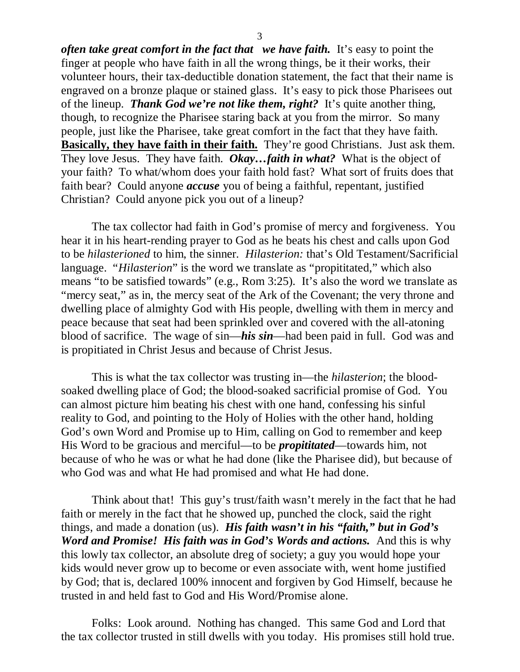*often take great comfort in the fact that we have faith.* It's easy to point the finger at people who have faith in all the wrong things, be it their works, their volunteer hours, their tax-deductible donation statement, the fact that their name is engraved on a bronze plaque or stained glass. It's easy to pick those Pharisees out of the lineup. *Thank God we're not like them, right?* It's quite another thing, though, to recognize the Pharisee staring back at you from the mirror. So many people, just like the Pharisee, take great comfort in the fact that they have faith. **Basically, they have faith in their faith.** They're good Christians. Just ask them. They love Jesus. They have faith. *Okay…faith in what?* What is the object of your faith? To what/whom does your faith hold fast? What sort of fruits does that faith bear? Could anyone *accuse* you of being a faithful, repentant, justified Christian? Could anyone pick you out of a lineup?

The tax collector had faith in God's promise of mercy and forgiveness. You hear it in his heart-rending prayer to God as he beats his chest and calls upon God to be *hilasterioned* to him, the sinner. *Hilasterion:* that's Old Testament/Sacrificial language. "*Hilasterion*" is the word we translate as "propititated," which also means "to be satisfied towards" (e.g., Rom 3:25). It's also the word we translate as "mercy seat," as in, the mercy seat of the Ark of the Covenant; the very throne and dwelling place of almighty God with His people, dwelling with them in mercy and peace because that seat had been sprinkled over and covered with the all-atoning blood of sacrifice. The wage of sin—*his sin*—had been paid in full. God was and is propitiated in Christ Jesus and because of Christ Jesus.

This is what the tax collector was trusting in—the *hilasterion*; the bloodsoaked dwelling place of God; the blood-soaked sacrificial promise of God. You can almost picture him beating his chest with one hand, confessing his sinful reality to God, and pointing to the Holy of Holies with the other hand, holding God's own Word and Promise up to Him, calling on God to remember and keep His Word to be gracious and merciful—to be *propititated*—towards him, not because of who he was or what he had done (like the Pharisee did), but because of who God was and what He had promised and what He had done.

Think about that! This guy's trust/faith wasn't merely in the fact that he had faith or merely in the fact that he showed up, punched the clock, said the right things, and made a donation (us). *His faith wasn't in his "faith," but in God's Word and Promise! His faith was in God's Words and actions.* And this is why this lowly tax collector, an absolute dreg of society; a guy you would hope your kids would never grow up to become or even associate with, went home justified by God; that is, declared 100% innocent and forgiven by God Himself, because he trusted in and held fast to God and His Word/Promise alone.

Folks: Look around. Nothing has changed. This same God and Lord that the tax collector trusted in still dwells with you today. His promises still hold true.